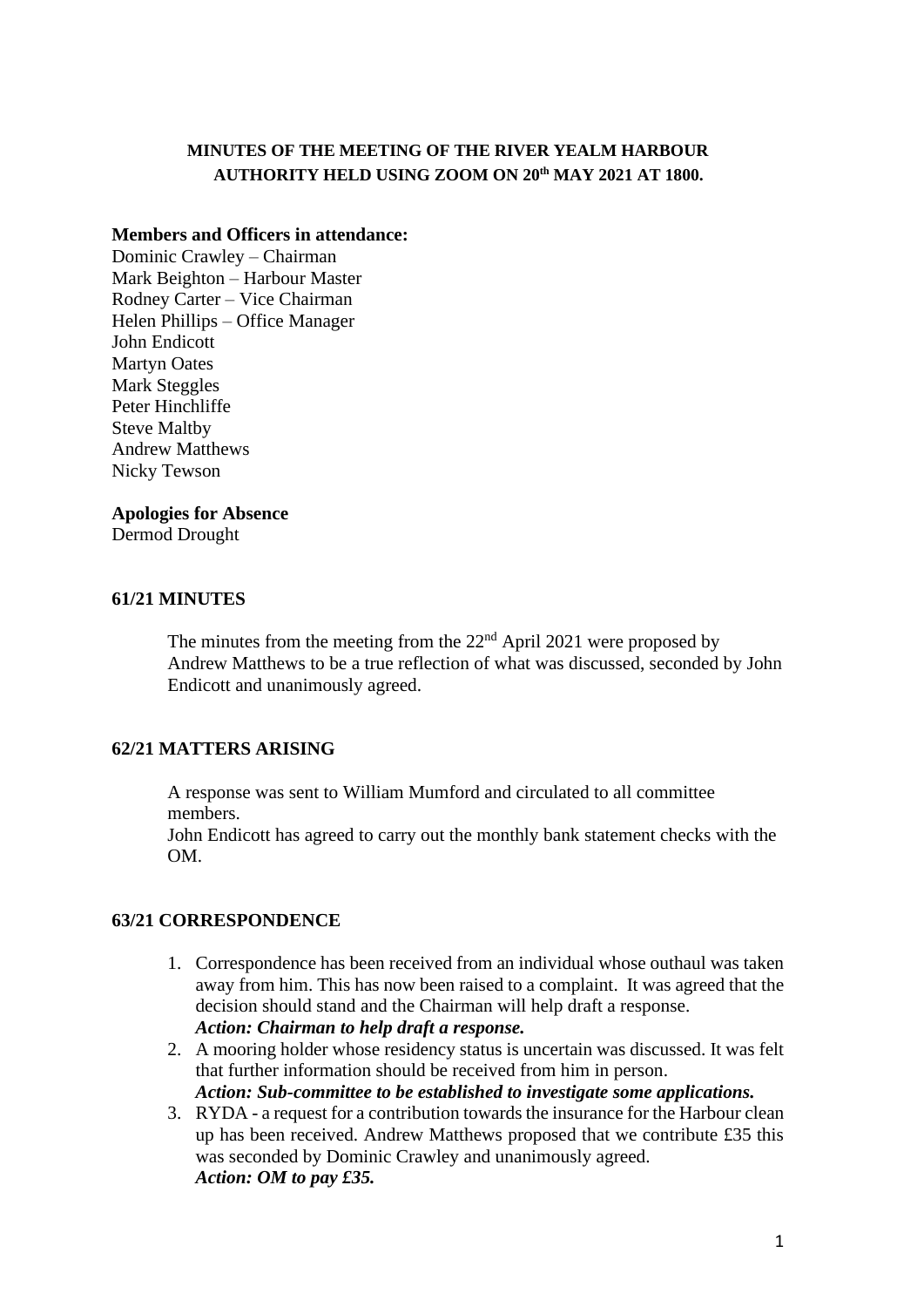# **MINUTES OF THE MEETING OF THE RIVER YEALM HARBOUR AUTHORITY HELD USING ZOOM ON 20 th MAY 2021 AT 1800.**

### **Members and Officers in attendance:**

Dominic Crawley – Chairman Mark Beighton – Harbour Master Rodney Carter – Vice Chairman Helen Phillips – Office Manager John Endicott Martyn Oates Mark Steggles Peter Hinchliffe Steve Maltby Andrew Matthews Nicky Tewson

## **Apologies for Absence**

Dermod Drought

## **61/21 MINUTES**

The minutes from the meeting from the  $22<sup>nd</sup>$  April 2021 were proposed by Andrew Matthews to be a true reflection of what was discussed, seconded by John Endicott and unanimously agreed.

# **62/21 MATTERS ARISING**

A response was sent to William Mumford and circulated to all committee members.

John Endicott has agreed to carry out the monthly bank statement checks with the OM.

### **63/21 CORRESPONDENCE**

- 1. Correspondence has been received from an individual whose outhaul was taken away from him. This has now been raised to a complaint. It was agreed that the decision should stand and the Chairman will help draft a response. *Action: Chairman to help draft a response.*
- 2. A mooring holder whose residency status is uncertain was discussed. It was felt that further information should be received from him in person. *Action: Sub-committee to be established to investigate some applications.*
- 3. RYDA a request for a contribution towards the insurance for the Harbour clean up has been received. Andrew Matthews proposed that we contribute £35 this was seconded by Dominic Crawley and unanimously agreed. *Action: OM to pay £35.*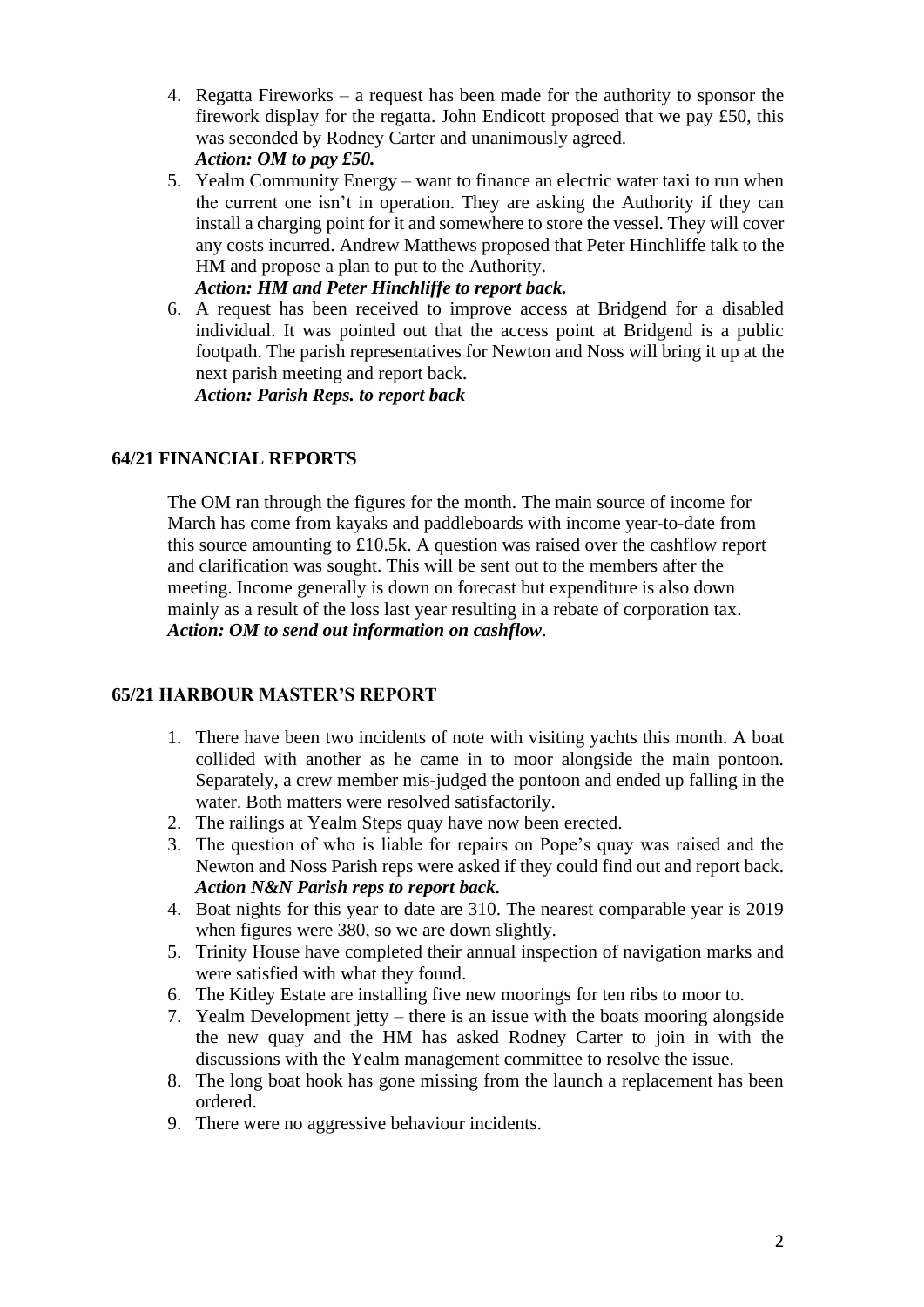- 4. Regatta Fireworks a request has been made for the authority to sponsor the firework display for the regatta. John Endicott proposed that we pay £50, this was seconded by Rodney Carter and unanimously agreed. *Action: OM to pay £50.*
- 5. Yealm Community Energy want to finance an electric water taxi to run when the current one isn't in operation. They are asking the Authority if they can install a charging point for it and somewhere to store the vessel. They will cover any costs incurred. Andrew Matthews proposed that Peter Hinchliffe talk to the HM and propose a plan to put to the Authority.

# *Action: HM and Peter Hinchliffe to report back.*

6. A request has been received to improve access at Bridgend for a disabled individual. It was pointed out that the access point at Bridgend is a public footpath. The parish representatives for Newton and Noss will bring it up at the next parish meeting and report back.

*Action: Parish Reps. to report back*

# **64/21 FINANCIAL REPORTS**

The OM ran through the figures for the month. The main source of income for March has come from kayaks and paddleboards with income year-to-date from this source amounting to £10.5k. A question was raised over the cashflow report and clarification was sought. This will be sent out to the members after the meeting. Income generally is down on forecast but expenditure is also down mainly as a result of the loss last year resulting in a rebate of corporation tax. *Action: OM to send out information on cashflow*.

# **65/21 HARBOUR MASTER'S REPORT**

- 1. There have been two incidents of note with visiting yachts this month. A boat collided with another as he came in to moor alongside the main pontoon. Separately, a crew member mis-judged the pontoon and ended up falling in the water. Both matters were resolved satisfactorily.
- 2. The railings at Yealm Steps quay have now been erected.
- 3. The question of who is liable for repairs on Pope's quay was raised and the Newton and Noss Parish reps were asked if they could find out and report back.  *Action N&N Parish reps to report back.*
- 4. Boat nights for this year to date are 310. The nearest comparable year is 2019 when figures were 380, so we are down slightly.
- 5. Trinity House have completed their annual inspection of navigation marks and were satisfied with what they found.
- 6. The Kitley Estate are installing five new moorings for ten ribs to moor to.
- 7. Yealm Development jetty there is an issue with the boats mooring alongside the new quay and the HM has asked Rodney Carter to join in with the discussions with the Yealm management committee to resolve the issue.
- 8. The long boat hook has gone missing from the launch a replacement has been ordered.
- 9. There were no aggressive behaviour incidents.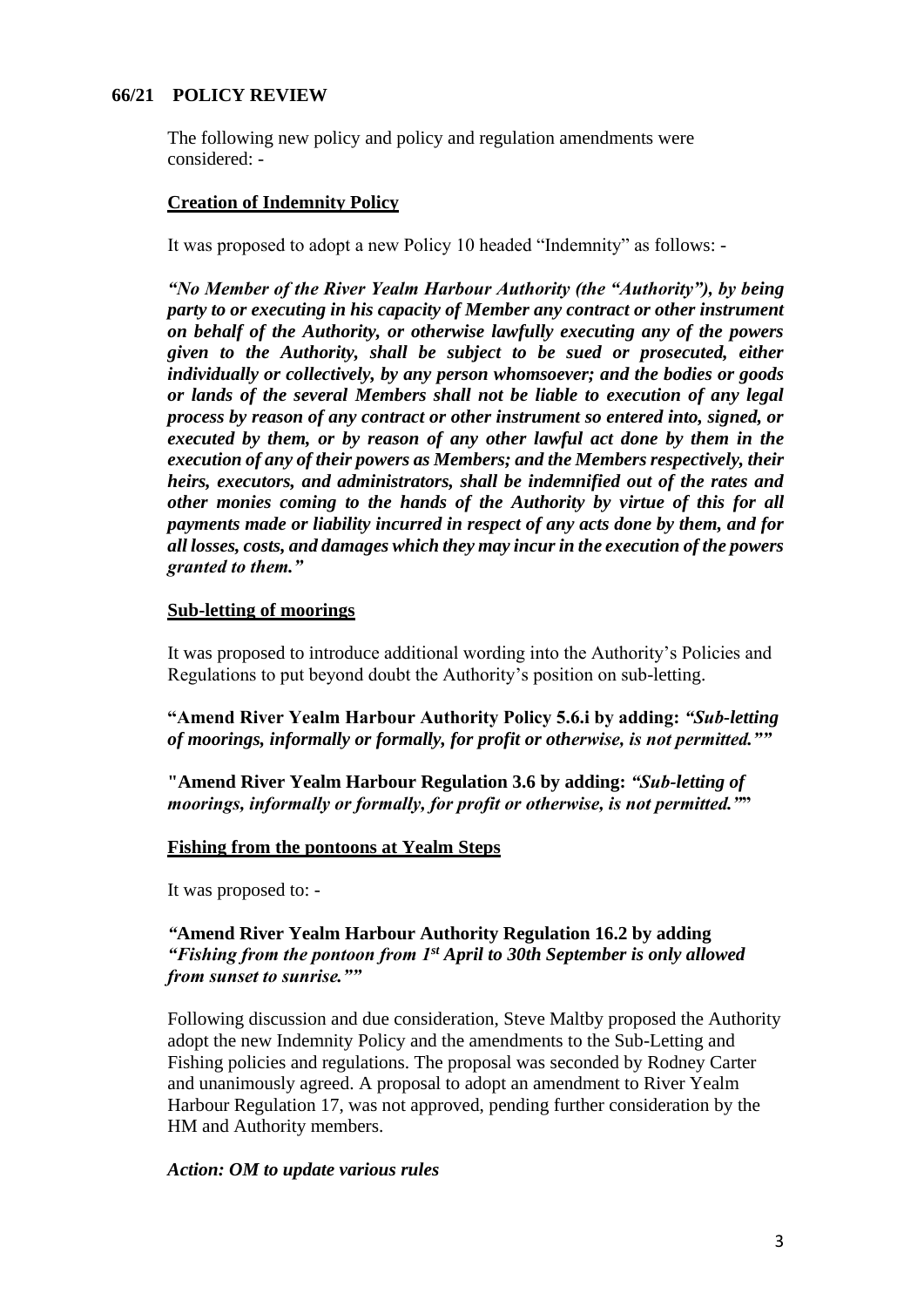## **66/21 POLICY REVIEW**

The following new policy and policy and regulation amendments were considered: -

#### **Creation of Indemnity Policy**

It was proposed to adopt a new Policy 10 headed "Indemnity" as follows: -

*"No Member of the River Yealm Harbour Authority (the "Authority"), by being party to or executing in his capacity of Member any contract or other instrument on behalf of the Authority, or otherwise lawfully executing any of the powers given to the Authority, shall be subject to be sued or prosecuted, either individually or collectively, by any person whomsoever; and the bodies or goods or lands of the several Members shall not be liable to execution of any legal process by reason of any contract or other instrument so entered into, signed, or executed by them, or by reason of any other lawful act done by them in the execution of any of their powers as Members; and the Members respectively, their heirs, executors, and administrators, shall be indemnified out of the rates and other monies coming to the hands of the Authority by virtue of this for all payments made or liability incurred in respect of any acts done by them, and for all losses, costs, and damages which they may incur in the execution of the powers granted to them."*

#### **Sub-letting of moorings**

It was proposed to introduce additional wording into the Authority's Policies and Regulations to put beyond doubt the Authority's position on sub-letting.

**"Amend River Yealm Harbour Authority Policy 5.6.i by adding:** *"Sub-letting of moorings, informally or formally, for profit or otherwise, is not permitted.""*

**"Amend River Yealm Harbour Regulation 3.6 by adding:** *"Sub-letting of moorings, informally or formally, for profit or otherwise, is not permitted."***"**

#### **Fishing from the pontoons at Yealm Steps**

It was proposed to: -

### *"***Amend River Yealm Harbour Authority Regulation 16.2 by adding** *"Fishing from the pontoon from 1st April to 30th September is only allowed from sunset to sunrise.""*

Following discussion and due consideration, Steve Maltby proposed the Authority adopt the new Indemnity Policy and the amendments to the Sub-Letting and Fishing policies and regulations. The proposal was seconded by Rodney Carter and unanimously agreed. A proposal to adopt an amendment to River Yealm Harbour Regulation 17, was not approved, pending further consideration by the HM and Authority members.

#### *Action: OM to update various rules*